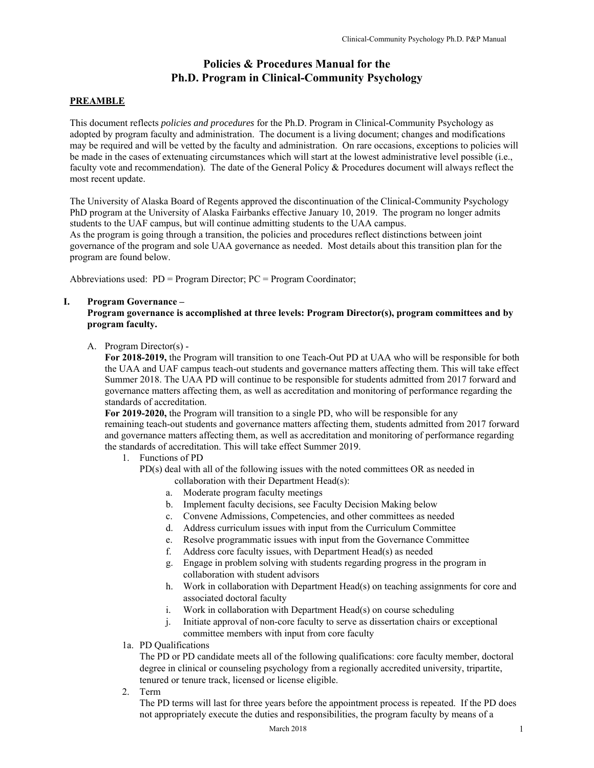# **Policies & Procedures Manual for the Ph.D. Program in Clinical-Community Psychology**

# **PREAMBLE**

This document reflects *policies and procedures* for the Ph.D. Program in Clinical-Community Psychology as adopted by program faculty and administration. The document is a living document; changes and modifications may be required and will be vetted by the faculty and administration. On rare occasions, exceptions to policies will be made in the cases of extenuating circumstances which will start at the lowest administrative level possible (i.e., faculty vote and recommendation). The date of the General Policy & Procedures document will always reflect the most recent update.

The University of Alaska Board of Regents approved the discontinuation of the Clinical-Community Psychology PhD program at the University of Alaska Fairbanks effective January 10, 2019. The program no longer admits students to the UAF campus, but will continue admitting students to the UAA campus. As the program is going through a transition, the policies and procedures reflect distinctions between joint governance of the program and sole UAA governance as needed. Most details about this transition plan for the program are found below.

Abbreviations used: PD = Program Director; PC = Program Coordinator;

#### **I. Program Governance –**

**Program governance is accomplished at three levels: Program Director(s), program committees and by program faculty.** 

A. Program Director(s) -

**For 2018-2019,** the Program will transition to one Teach-Out PD at UAA who will be responsible for both the UAA and UAF campus teach-out students and governance matters affecting them. This will take effect Summer 2018. The UAA PD will continue to be responsible for students admitted from 2017 forward and governance matters affecting them, as well as accreditation and monitoring of performance regarding the standards of accreditation.

**For 2019-2020,** the Program will transition to a single PD, who will be responsible for any remaining teach-out students and governance matters affecting them, students admitted from 2017 forward and governance matters affecting them, as well as accreditation and monitoring of performance regarding the standards of accreditation. This will take effect Summer 2019.

- 1. Functions of PD
	- PD(s) deal with all of the following issues with the noted committees OR as needed in collaboration with their Department Head(s):
		- a. Moderate program faculty meetings
		- b. Implement faculty decisions, see Faculty Decision Making below
		- c. Convene Admissions, Competencies, and other committees as needed
		- d. Address curriculum issues with input from the Curriculum Committee
		- e. Resolve programmatic issues with input from the Governance Committee
		- f. Address core faculty issues, with Department Head(s) as needed
		- g. Engage in problem solving with students regarding progress in the program in collaboration with student advisors
		- h. Work in collaboration with Department Head(s) on teaching assignments for core and associated doctoral faculty
		- i. Work in collaboration with Department Head(s) on course scheduling
		- j. Initiate approval of non-core faculty to serve as dissertation chairs or exceptional committee members with input from core faculty
- 1a. PD Qualifications

 The PD or PD candidate meets all of the following qualifications: core faculty member, doctoral degree in clinical or counseling psychology from a regionally accredited university, tripartite, tenured or tenure track, licensed or license eligible.

2. Term

 The PD terms will last for three years before the appointment process is repeated. If the PD does not appropriately execute the duties and responsibilities, the program faculty by means of a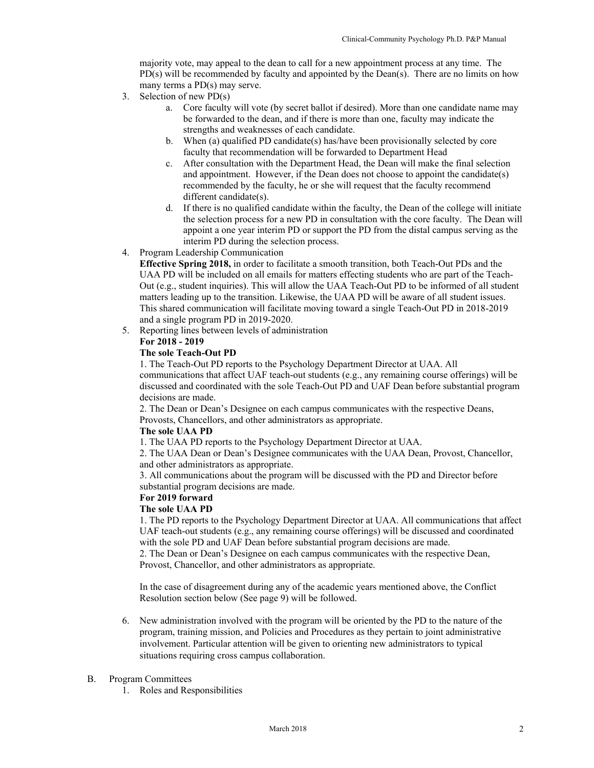majority vote, may appeal to the dean to call for a new appointment process at any time. The  $PD(s)$  will be recommended by faculty and appointed by the Dean(s). There are no limits on how many terms a PD(s) may serve.

- 3. Selection of new PD(s)
	- a. Core faculty will vote (by secret ballot if desired). More than one candidate name may be forwarded to the dean, and if there is more than one, faculty may indicate the strengths and weaknesses of each candidate.
	- b. When (a) qualified PD candidate(s) has/have been provisionally selected by core faculty that recommendation will be forwarded to Department Head
	- c. After consultation with the Department Head, the Dean will make the final selection and appointment. However, if the Dean does not choose to appoint the candidate(s) recommended by the faculty, he or she will request that the faculty recommend different candidate(s).
	- d. If there is no qualified candidate within the faculty, the Dean of the college will initiate the selection process for a new PD in consultation with the core faculty. The Dean will appoint a one year interim PD or support the PD from the distal campus serving as the interim PD during the selection process.

#### 4. Program Leadership Communication

**Effective Spring 2018,** in order to facilitate a smooth transition, both Teach-Out PDs and the UAA PD will be included on all emails for matters effecting students who are part of the Teach-Out (e.g., student inquiries). This will allow the UAA Teach-Out PD to be informed of all student matters leading up to the transition. Likewise, the UAA PD will be aware of all student issues. This shared communication will facilitate moving toward a single Teach-Out PD in 2018-2019 and a single program PD in 2019-2020.

5. Reporting lines between levels of administration **For 2018 - 2019** 

#### **The sole Teach-Out PD**

1. The Teach-Out PD reports to the Psychology Department Director at UAA. All communications that affect UAF teach-out students (e.g., any remaining course offerings) will be discussed and coordinated with the sole Teach-Out PD and UAF Dean before substantial program decisions are made.

2. The Dean or Dean's Designee on each campus communicates with the respective Deans, Provosts, Chancellors, and other administrators as appropriate.

#### **The sole UAA PD**

1. The UAA PD reports to the Psychology Department Director at UAA.

2. The UAA Dean or Dean's Designee communicates with the UAA Dean, Provost, Chancellor, and other administrators as appropriate.

3. All communications about the program will be discussed with the PD and Director before substantial program decisions are made.

# **For 2019 forward**

#### **The sole UAA PD**

1. The PD reports to the Psychology Department Director at UAA. All communications that affect UAF teach-out students (e.g., any remaining course offerings) will be discussed and coordinated with the sole PD and UAF Dean before substantial program decisions are made.

2. The Dean or Dean's Designee on each campus communicates with the respective Dean, Provost, Chancellor, and other administrators as appropriate.

In the case of disagreement during any of the academic years mentioned above, the Conflict Resolution section below (See page 9) will be followed.

6. New administration involved with the program will be oriented by the PD to the nature of the program, training mission, and Policies and Procedures as they pertain to joint administrative involvement. Particular attention will be given to orienting new administrators to typical situations requiring cross campus collaboration.

#### B. Program Committees

1. Roles and Responsibilities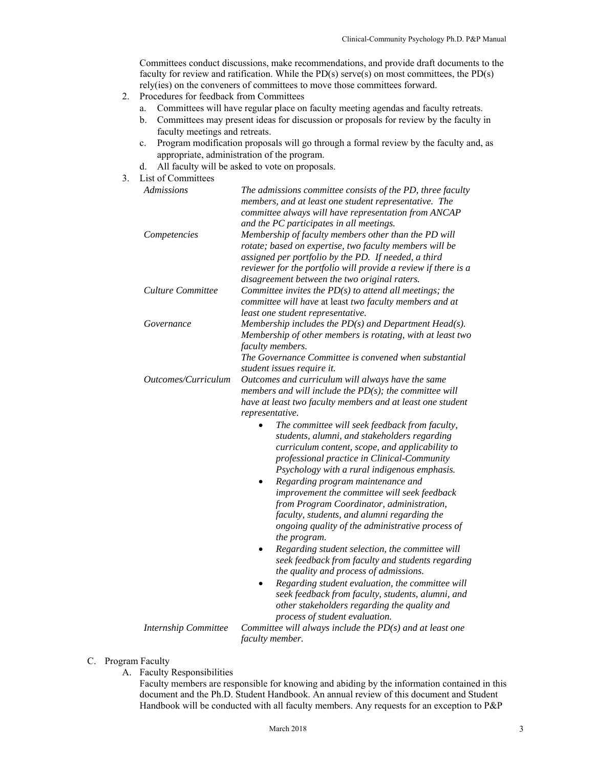Committees conduct discussions, make recommendations, and provide draft documents to the faculty for review and ratification. While the  $PD(s)$  serve(s) on most committees, the  $PD(s)$ rely(ies) on the conveners of committees to move those committees forward.

- 2. Procedures for feedback from Committees
	- a. Committees will have regular place on faculty meeting agendas and faculty retreats.
	- b. Committees may present ideas for discussion or proposals for review by the faculty in faculty meetings and retreats.
	- c. Program modification proposals will go through a formal review by the faculty and, as appropriate, administration of the program.
	- d. All faculty will be asked to vote on proposals.
- 3. List of Committees

| <b>Admissions</b>           | The admissions committee consists of the PD, three faculty<br>members, and at least one student representative. The<br>committee always will have representation from ANCAP<br>and the PC participates in all meetings.                                                                                                                                                                                                                                                                                                                                                                                                                                                                                                                                                                                                                                                                                                                                                                                                                                    |
|-----------------------------|------------------------------------------------------------------------------------------------------------------------------------------------------------------------------------------------------------------------------------------------------------------------------------------------------------------------------------------------------------------------------------------------------------------------------------------------------------------------------------------------------------------------------------------------------------------------------------------------------------------------------------------------------------------------------------------------------------------------------------------------------------------------------------------------------------------------------------------------------------------------------------------------------------------------------------------------------------------------------------------------------------------------------------------------------------|
| Competencies                | Membership of faculty members other than the PD will<br>rotate; based on expertise, two faculty members will be<br>assigned per portfolio by the PD. If needed, a third<br>reviewer for the portfolio will provide a review if there is a<br>disagreement between the two original raters.                                                                                                                                                                                                                                                                                                                                                                                                                                                                                                                                                                                                                                                                                                                                                                 |
| Culture Committee           | Committee invites the $PD(s)$ to attend all meetings; the<br>committee will have at least two faculty members and at<br>least one student representative.                                                                                                                                                                                                                                                                                                                                                                                                                                                                                                                                                                                                                                                                                                                                                                                                                                                                                                  |
| Governance                  | Membership includes the $PD(s)$ and Department Head(s).<br>Membership of other members is rotating, with at least two<br>faculty members.<br>The Governance Committee is convened when substantial<br>student issues require it.                                                                                                                                                                                                                                                                                                                                                                                                                                                                                                                                                                                                                                                                                                                                                                                                                           |
| Outcomes/Curriculum         | Outcomes and curriculum will always have the same<br>members and will include the $PD(s)$ ; the committee will<br>have at least two faculty members and at least one student<br>representative.<br>The committee will seek feedback from faculty,<br>students, alumni, and stakeholders regarding<br>curriculum content, scope, and applicability to<br>professional practice in Clinical-Community<br>Psychology with a rural indigenous emphasis.<br>Regarding program maintenance and<br>improvement the committee will seek feedback<br>from Program Coordinator, administration,<br>faculty, students, and alumni regarding the<br>ongoing quality of the administrative process of<br>the program.<br>Regarding student selection, the committee will<br>٠<br>seek feedback from faculty and students regarding<br>the quality and process of admissions.<br>Regarding student evaluation, the committee will<br>seek feedback from faculty, students, alumni, and<br>other stakeholders regarding the quality and<br>process of student evaluation. |
| <b>Internship Committee</b> | Committee will always include the $PD(s)$ and at least one                                                                                                                                                                                                                                                                                                                                                                                                                                                                                                                                                                                                                                                                                                                                                                                                                                                                                                                                                                                                 |

*faculty member.* 

- C. Program Faculty
	- A. Faculty Responsibilities

Faculty members are responsible for knowing and abiding by the information contained in this document and the Ph.D. Student Handbook. An annual review of this document and Student Handbook will be conducted with all faculty members. Any requests for an exception to P&P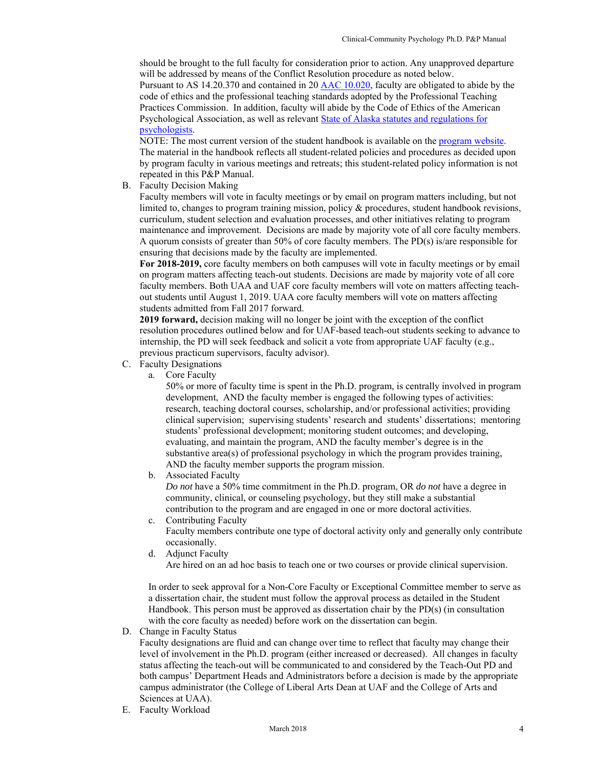should be brought to the full faculty for consideration prior to action. Any unapproved departure will be addressed by means of the Conflict Resolution procedure as noted below.

Pursuant to AS 14.20.370 and contained in 20 AAC 10.020, faculty are obligated to abide by the code of ethics and the professional teaching standards adopted by the Professional Teaching Practices Commission. In addition, faculty will abide by the Code of Ethics of the American Psychological Association, as well as relevant State of Alaska statutes and regulations for psychologists.

NOTE: The most current version of the student handbook is available on the program website. The material in the handbook reflects all student-related policies and procedures as decided upon by program faculty in various meetings and retreats; this student-related policy information is not repeated in this P&P Manual.

B. Faculty Decision Making

Faculty members will vote in faculty meetings or by email on program matters including, but not limited to, changes to program training mission, policy & procedures, student handbook revisions, curriculum, student selection and evaluation processes, and other initiatives relating to program maintenance and improvement. Decisions are made by majority vote of all core faculty members. A quorum consists of greater than 50% of core faculty members. The PD(s) is/are responsible for ensuring that decisions made by the faculty are implemented.

**For 2018-2019,** core faculty members on both campuses will vote in faculty meetings or by email on program matters affecting teach-out students. Decisions are made by majority vote of all core faculty members. Both UAA and UAF core faculty members will vote on matters affecting teachout students until August 1, 2019. UAA core faculty members will vote on matters affecting students admitted from Fall 2017 forward.

**2019 forward,** decision making will no longer be joint with the exception of the conflict resolution procedures outlined below and for UAF-based teach-out students seeking to advance to internship, the PD will seek feedback and solicit a vote from appropriate UAF faculty (e.g., previous practicum supervisors, faculty advisor).

- C. Faculty Designations
	- a. Core Faculty

 50% or more of faculty time is spent in the Ph.D. program, is centrally involved in program development, AND the faculty member is engaged the following types of activities: research, teaching doctoral courses, scholarship, and/or professional activities; providing clinical supervision; supervising students' research and students' dissertations; mentoring students' professional development; monitoring student outcomes; and developing, evaluating, and maintain the program, AND the faculty member's degree is in the substantive area(s) of professional psychology in which the program provides training, AND the faculty member supports the program mission.

b. Associated Faculty

*Do not* have a 50% time commitment in the Ph.D. program, OR *do not* have a degree in community, clinical, or counseling psychology, but they still make a substantial contribution to the program and are engaged in one or more doctoral activities.

- c. Contributing Faculty Faculty members contribute one type of doctoral activity only and generally only contribute occasionally.
- d. Adjunct Faculty Are hired on an ad hoc basis to teach one or two courses or provide clinical supervision.

In order to seek approval for a Non-Core Faculty or Exceptional Committee member to serve as a dissertation chair, the student must follow the approval process as detailed in the Student Handbook. This person must be approved as dissertation chair by the PD(s) (in consultation with the core faculty as needed) before work on the dissertation can begin.

D. Change in Faculty Status

Faculty designations are fluid and can change over time to reflect that faculty may change their level of involvement in the Ph.D. program (either increased or decreased). All changes in faculty status affecting the teach-out will be communicated to and considered by the Teach-Out PD and both campus' Department Heads and Administrators before a decision is made by the appropriate campus administrator (the College of Liberal Arts Dean at UAF and the College of Arts and Sciences at UAA).

E. Faculty Workload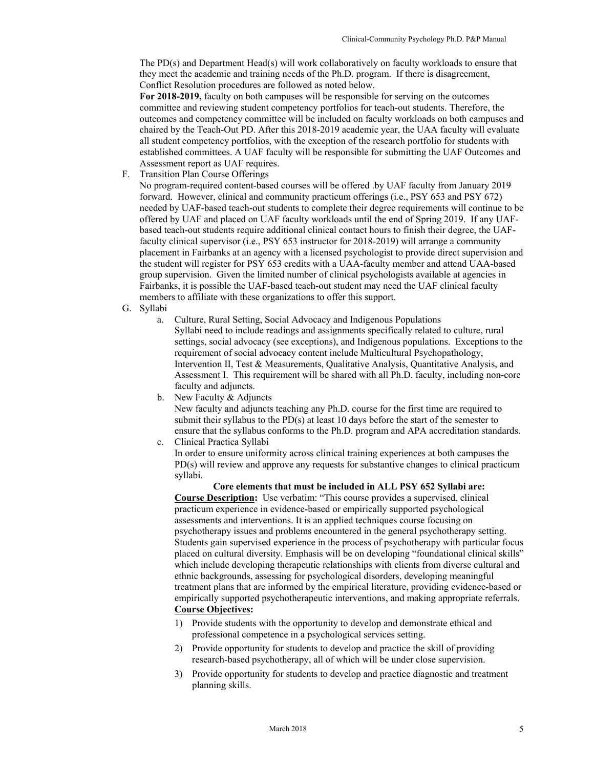The PD(s) and Department Head(s) will work collaboratively on faculty workloads to ensure that they meet the academic and training needs of the Ph.D. program. If there is disagreement, Conflict Resolution procedures are followed as noted below.

**For 2018-2019,** faculty on both campuses will be responsible for serving on the outcomes committee and reviewing student competency portfolios for teach-out students. Therefore, the outcomes and competency committee will be included on faculty workloads on both campuses and chaired by the Teach-Out PD. After this 2018-2019 academic year, the UAA faculty will evaluate all student competency portfolios, with the exception of the research portfolio for students with established committees. A UAF faculty will be responsible for submitting the UAF Outcomes and Assessment report as UAF requires.

F. Transition Plan Course Offerings

No program-required content-based courses will be offered .by UAF faculty from January 2019 forward. However, clinical and community practicum offerings (i.e., PSY 653 and PSY 672) needed by UAF-based teach-out students to complete their degree requirements will continue to be offered by UAF and placed on UAF faculty workloads until the end of Spring 2019. If any UAFbased teach-out students require additional clinical contact hours to finish their degree, the UAFfaculty clinical supervisor (i.e., PSY 653 instructor for 2018-2019) will arrange a community placement in Fairbanks at an agency with a licensed psychologist to provide direct supervision and the student will register for PSY 653 credits with a UAA-faculty member and attend UAA-based group supervision. Given the limited number of clinical psychologists available at agencies in Fairbanks, it is possible the UAF-based teach-out student may need the UAF clinical faculty members to affiliate with these organizations to offer this support.

- G. Syllabi
	- a. Culture, Rural Setting, Social Advocacy and Indigenous Populations Syllabi need to include readings and assignments specifically related to culture, rural settings, social advocacy (see exceptions), and Indigenous populations. Exceptions to the requirement of social advocacy content include Multicultural Psychopathology, Intervention II, Test & Measurements, Qualitative Analysis, Quantitative Analysis, and Assessment I. This requirement will be shared with all Ph.D. faculty, including non-core faculty and adjuncts.
	- b. New Faculty & Adjuncts

New faculty and adjuncts teaching any Ph.D. course for the first time are required to submit their syllabus to the PD(s) at least 10 days before the start of the semester to ensure that the syllabus conforms to the Ph.D. program and APA accreditation standards. c. Clinical Practica Syllabi

In order to ensure uniformity across clinical training experiences at both campuses the PD(s) will review and approve any requests for substantive changes to clinical practicum syllabi.

**Core elements that must be included in ALL PSY 652 Syllabi are: Course Description:** Use verbatim: "This course provides a supervised, clinical practicum experience in evidence-based or empirically supported psychological assessments and interventions. It is an applied techniques course focusing on psychotherapy issues and problems encountered in the general psychotherapy setting. Students gain supervised experience in the process of psychotherapy with particular focus placed on cultural diversity. Emphasis will be on developing "foundational clinical skills" which include developing therapeutic relationships with clients from diverse cultural and ethnic backgrounds, assessing for psychological disorders, developing meaningful treatment plans that are informed by the empirical literature, providing evidence-based or empirically supported psychotherapeutic interventions, and making appropriate referrals. **Course Objectives:**

- 1) Provide students with the opportunity to develop and demonstrate ethical and professional competence in a psychological services setting.
- 2) Provide opportunity for students to develop and practice the skill of providing research-based psychotherapy, all of which will be under close supervision.
- 3) Provide opportunity for students to develop and practice diagnostic and treatment planning skills.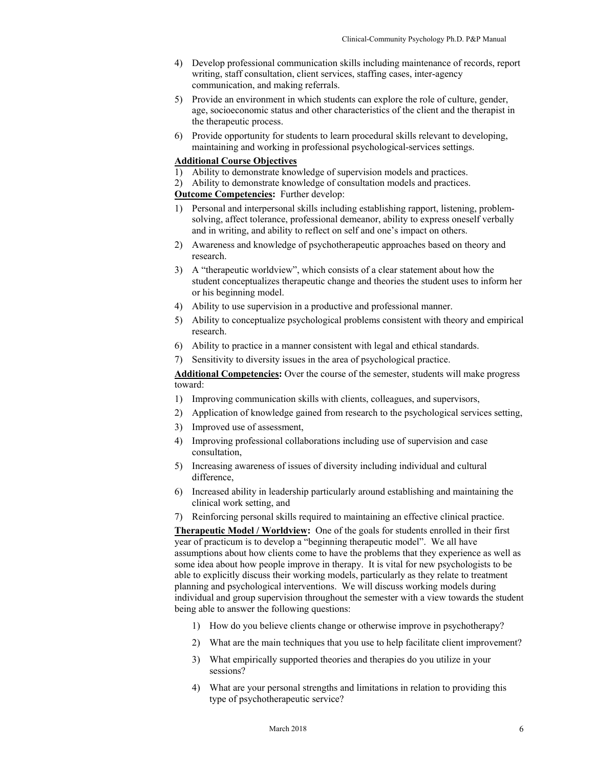- 4) Develop professional communication skills including maintenance of records, report writing, staff consultation, client services, staffing cases, inter-agency communication, and making referrals.
- 5) Provide an environment in which students can explore the role of culture, gender, age, socioeconomic status and other characteristics of the client and the therapist in the therapeutic process.
- 6) Provide opportunity for students to learn procedural skills relevant to developing, maintaining and working in professional psychological-services settings.

# **Additional Course Objectives**

- 1) Ability to demonstrate knowledge of supervision models and practices.
- 2) Ability to demonstrate knowledge of consultation models and practices.

# **Outcome Competencies:** Further develop:

- 1) Personal and interpersonal skills including establishing rapport, listening, problemsolving, affect tolerance, professional demeanor, ability to express oneself verbally and in writing, and ability to reflect on self and one's impact on others.
- 2) Awareness and knowledge of psychotherapeutic approaches based on theory and research.
- 3) A "therapeutic worldview", which consists of a clear statement about how the student conceptualizes therapeutic change and theories the student uses to inform her or his beginning model.
- 4) Ability to use supervision in a productive and professional manner.
- 5) Ability to conceptualize psychological problems consistent with theory and empirical research.
- 6) Ability to practice in a manner consistent with legal and ethical standards.
- 7) Sensitivity to diversity issues in the area of psychological practice.

**Additional Competencies:** Over the course of the semester, students will make progress toward:

- 1) Improving communication skills with clients, colleagues, and supervisors,
- 2) Application of knowledge gained from research to the psychological services setting,
- 3) Improved use of assessment,
- 4) Improving professional collaborations including use of supervision and case consultation,
- 5) Increasing awareness of issues of diversity including individual and cultural difference,
- 6) Increased ability in leadership particularly around establishing and maintaining the clinical work setting, and
- 7) Reinforcing personal skills required to maintaining an effective clinical practice.

**Therapeutic Model / Worldview:** One of the goals for students enrolled in their first year of practicum is to develop a "beginning therapeutic model". We all have assumptions about how clients come to have the problems that they experience as well as some idea about how people improve in therapy. It is vital for new psychologists to be able to explicitly discuss their working models, particularly as they relate to treatment planning and psychological interventions. We will discuss working models during individual and group supervision throughout the semester with a view towards the student being able to answer the following questions:

- 1) How do you believe clients change or otherwise improve in psychotherapy?
- 2) What are the main techniques that you use to help facilitate client improvement?
- 3) What empirically supported theories and therapies do you utilize in your sessions?
- 4) What are your personal strengths and limitations in relation to providing this type of psychotherapeutic service?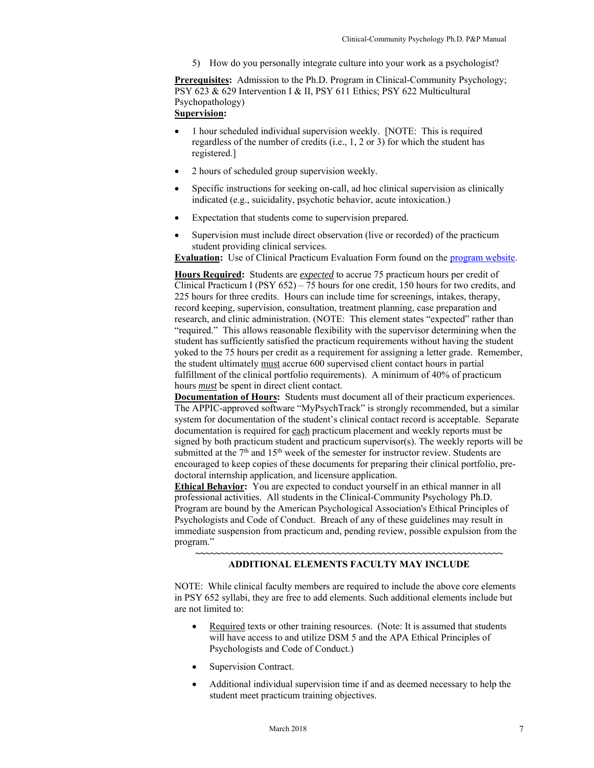5) How do you personally integrate culture into your work as a psychologist?

**Prerequisites:** Admission to the Ph.D. Program in Clinical-Community Psychology; PSY 623 & 629 Intervention I & II, PSY 611 Ethics; PSY 622 Multicultural Psychopathology) **Supervision:** 

- 1 hour scheduled individual supervision weekly. [NOTE: This is required regardless of the number of credits (i.e., 1, 2 or 3) for which the student has registered.]
- 2 hours of scheduled group supervision weekly.
- Specific instructions for seeking on-call, ad hoc clinical supervision as clinically indicated (e.g., suicidality, psychotic behavior, acute intoxication.)
- Expectation that students come to supervision prepared.
- Supervision must include direct observation (live or recorded) of the practicum student providing clinical services.

**Evaluation:** Use of Clinical Practicum Evaluation Form found on the program website.

**Hours Required:** Students are *expected* to accrue 75 practicum hours per credit of Clinical Practicum I (PSY 652) – 75 hours for one credit, 150 hours for two credits, and 225 hours for three credits. Hours can include time for screenings, intakes, therapy, record keeping, supervision, consultation, treatment planning, case preparation and research, and clinic administration. (NOTE: This element states "expected" rather than "required." This allows reasonable flexibility with the supervisor determining when the student has sufficiently satisfied the practicum requirements without having the student yoked to the 75 hours per credit as a requirement for assigning a letter grade. Remember, the student ultimately must accrue 600 supervised client contact hours in partial fulfillment of the clinical portfolio requirements). A minimum of 40% of practicum hours *must* be spent in direct client contact.

**Documentation of Hours:** Students must document all of their practicum experiences. The APPIC-approved software "MyPsychTrack" is strongly recommended, but a similar system for documentation of the student's clinical contact record is acceptable. Separate documentation is required for each practicum placement and weekly reports must be signed by both practicum student and practicum supervisor(s). The weekly reports will be submitted at the  $7<sup>th</sup>$  and  $15<sup>th</sup>$  week of the semester for instructor review. Students are encouraged to keep copies of these documents for preparing their clinical portfolio, predoctoral internship application, and licensure application.

**Ethical Behavior:** You are expected to conduct yourself in an ethical manner in all professional activities.All students in the Clinical-Community Psychology Ph.D. Program are bound by the American Psychological Association's Ethical Principles of Psychologists and Code of Conduct. Breach of any of these guidelines may result in immediate suspension from practicum and, pending review, possible expulsion from the program."

#### **~~~~~~~~~~~~~~~~~~~~~~~~~~~~~~~~~~~~~~~~~~~~~~~~~~~~~~~~~~~~~ ADDITIONAL ELEMENTS FACULTY MAY INCLUDE**

NOTE: While clinical faculty members are required to include the above core elements in PSY 652 syllabi, they are free to add elements. Such additional elements include but are not limited to:

- Required texts or other training resources. (Note: It is assumed that students will have access to and utilize DSM 5 and the APA Ethical Principles of Psychologists and Code of Conduct.)
- Supervision Contract.
- Additional individual supervision time if and as deemed necessary to help the student meet practicum training objectives.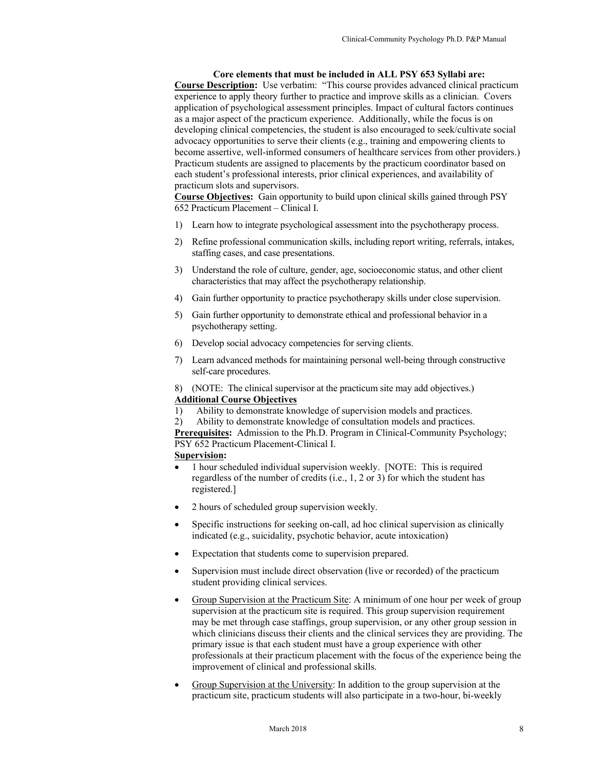**Core elements that must be included in ALL PSY 653 Syllabi are: Course Description:** Use verbatim: "This course provides advanced clinical practicum experience to apply theory further to practice and improve skills as a clinician. Covers application of psychological assessment principles. Impact of cultural factors continues as a major aspect of the practicum experience. Additionally, while the focus is on developing clinical competencies, the student is also encouraged to seek/cultivate social advocacy opportunities to serve their clients (e.g., training and empowering clients to become assertive, well-informed consumers of healthcare services from other providers.) Practicum students are assigned to placements by the practicum coordinator based on each student's professional interests, prior clinical experiences, and availability of practicum slots and supervisors.

**Course Objectives:** Gain opportunity to build upon clinical skills gained through PSY 652 Practicum Placement – Clinical I.

- 1) Learn how to integrate psychological assessment into the psychotherapy process.
- 2) Refine professional communication skills, including report writing, referrals, intakes, staffing cases, and case presentations.
- 3) Understand the role of culture, gender, age, socioeconomic status, and other client characteristics that may affect the psychotherapy relationship.
- 4) Gain further opportunity to practice psychotherapy skills under close supervision.
- 5) Gain further opportunity to demonstrate ethical and professional behavior in a psychotherapy setting.
- 6) Develop social advocacy competencies for serving clients.
- 7) Learn advanced methods for maintaining personal well-being through constructive self-care procedures.
- 8) (NOTE: The clinical supervisor at the practicum site may add objectives.) **Additional Course Objectives**
- 1) Ability to demonstrate knowledge of supervision models and practices.
- 2) Ability to demonstrate knowledge of consultation models and practices.

**Prerequisites:** Admission to the Ph.D. Program in Clinical-Community Psychology; PSY 652 Practicum Placement-Clinical I.

# **Supervision:**

- 1 hour scheduled individual supervision weekly. [NOTE: This is required regardless of the number of credits (i.e., 1, 2 or 3) for which the student has registered.]
- 2 hours of scheduled group supervision weekly.
- Specific instructions for seeking on-call, ad hoc clinical supervision as clinically indicated (e.g., suicidality, psychotic behavior, acute intoxication)
- Expectation that students come to supervision prepared.
- Supervision must include direct observation (live or recorded) of the practicum student providing clinical services.
- Group Supervision at the Practicum Site: A minimum of one hour per week of group supervision at the practicum site is required. This group supervision requirement may be met through case staffings, group supervision, or any other group session in which clinicians discuss their clients and the clinical services they are providing. The primary issue is that each student must have a group experience with other professionals at their practicum placement with the focus of the experience being the improvement of clinical and professional skills.
- Group Supervision at the University: In addition to the group supervision at the practicum site, practicum students will also participate in a two-hour, bi-weekly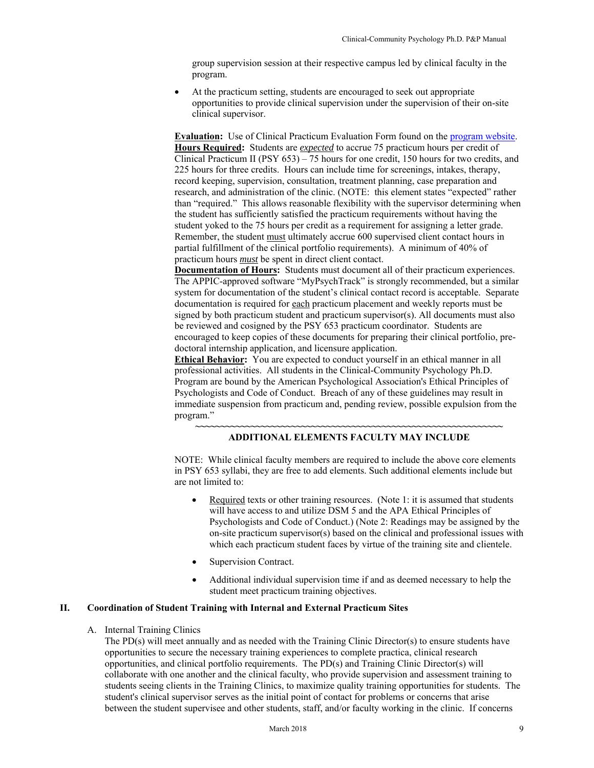group supervision session at their respective campus led by clinical faculty in the program.

 At the practicum setting, students are encouraged to seek out appropriate opportunities to provide clinical supervision under the supervision of their on-site clinical supervisor.

**Evaluation:** Use of Clinical Practicum Evaluation Form found on the program website. **Hours Required:** Students are *expected* to accrue 75 practicum hours per credit of Clinical Practicum II (PSY 653) – 75 hours for one credit, 150 hours for two credits, and 225 hours for three credits. Hours can include time for screenings, intakes, therapy, record keeping, supervision, consultation, treatment planning, case preparation and research, and administration of the clinic. (NOTE: this element states "expected" rather than "required." This allows reasonable flexibility with the supervisor determining when the student has sufficiently satisfied the practicum requirements without having the student yoked to the 75 hours per credit as a requirement for assigning a letter grade. Remember, the student must ultimately accrue 600 supervised client contact hours in partial fulfillment of the clinical portfolio requirements). A minimum of 40% of practicum hours *must* be spent in direct client contact.

**Documentation of Hours:** Students must document all of their practicum experiences. The APPIC-approved software "MyPsychTrack" is strongly recommended, but a similar system for documentation of the student's clinical contact record is acceptable. Separate documentation is required for each practicum placement and weekly reports must be signed by both practicum student and practicum supervisor(s). All documents must also be reviewed and cosigned by the PSY 653 practicum coordinator. Students are encouraged to keep copies of these documents for preparing their clinical portfolio, predoctoral internship application, and licensure application.

**Ethical Behavior:** You are expected to conduct yourself in an ethical manner in all professional activities.All students in the Clinical-Community Psychology Ph.D. Program are bound by the American Psychological Association's Ethical Principles of Psychologists and Code of Conduct. Breach of any of these guidelines may result in immediate suspension from practicum and, pending review, possible expulsion from the program."

#### **~~~~~~~~~~~~~~~~~~~~~~~~~~~~~~~~~~~~~~~~~~~~~~~~~~~~~~~~~~~~~ ADDITIONAL ELEMENTS FACULTY MAY INCLUDE**

NOTE: While clinical faculty members are required to include the above core elements in PSY 653 syllabi, they are free to add elements. Such additional elements include but are not limited to:

- Required texts or other training resources. (Note 1: it is assumed that students will have access to and utilize DSM 5 and the APA Ethical Principles of Psychologists and Code of Conduct.) (Note 2: Readings may be assigned by the on-site practicum supervisor(s) based on the clinical and professional issues with which each practicum student faces by virtue of the training site and clientele.
- Supervision Contract.
- Additional individual supervision time if and as deemed necessary to help the student meet practicum training objectives.

# **II. Coordination of Student Training with Internal and External Practicum Sites**

#### A. Internal Training Clinics

The PD(s) will meet annually and as needed with the Training Clinic Director(s) to ensure students have opportunities to secure the necessary training experiences to complete practica, clinical research opportunities, and clinical portfolio requirements. The PD(s) and Training Clinic Director(s) will collaborate with one another and the clinical faculty, who provide supervision and assessment training to students seeing clients in the Training Clinics, to maximize quality training opportunities for students. The student's clinical supervisor serves as the initial point of contact for problems or concerns that arise between the student supervisee and other students, staff, and/or faculty working in the clinic. If concerns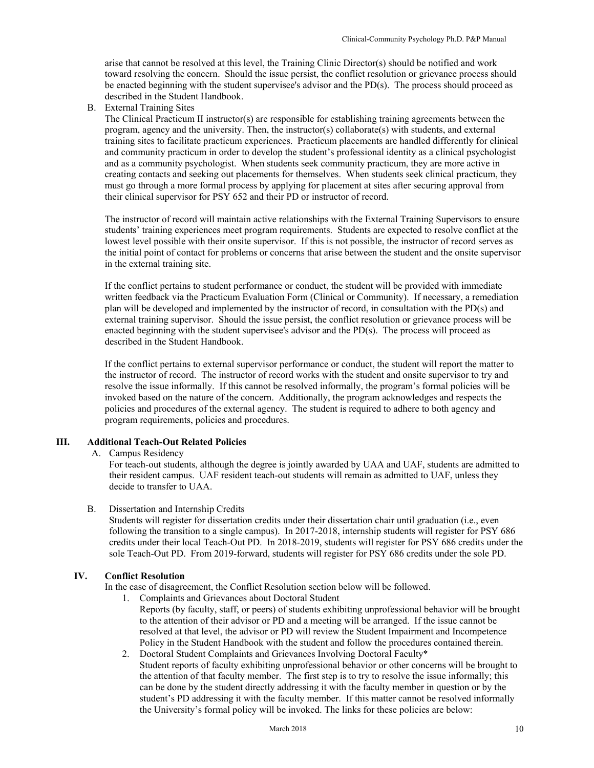arise that cannot be resolved at this level, the Training Clinic Director(s) should be notified and work toward resolving the concern. Should the issue persist, the conflict resolution or grievance process should be enacted beginning with the student supervisee's advisor and the PD(s). The process should proceed as described in the Student Handbook.

B. External Training Sites

The Clinical Practicum II instructor(s) are responsible for establishing training agreements between the program, agency and the university. Then, the instructor(s) collaborate(s) with students, and external training sites to facilitate practicum experiences. Practicum placements are handled differently for clinical and community practicum in order to develop the student's professional identity as a clinical psychologist and as a community psychologist. When students seek community practicum, they are more active in creating contacts and seeking out placements for themselves. When students seek clinical practicum, they must go through a more formal process by applying for placement at sites after securing approval from their clinical supervisor for PSY 652 and their PD or instructor of record.

The instructor of record will maintain active relationships with the External Training Supervisors to ensure students' training experiences meet program requirements. Students are expected to resolve conflict at the lowest level possible with their onsite supervisor. If this is not possible, the instructor of record serves as the initial point of contact for problems or concerns that arise between the student and the onsite supervisor in the external training site.

If the conflict pertains to student performance or conduct, the student will be provided with immediate written feedback via the Practicum Evaluation Form (Clinical or Community). If necessary, a remediation plan will be developed and implemented by the instructor of record, in consultation with the PD(s) and external training supervisor. Should the issue persist, the conflict resolution or grievance process will be enacted beginning with the student supervisee's advisor and the PD(s). The process will proceed as described in the Student Handbook.

If the conflict pertains to external supervisor performance or conduct, the student will report the matter to the instructor of record. The instructor of record works with the student and onsite supervisor to try and resolve the issue informally. If this cannot be resolved informally, the program's formal policies will be invoked based on the nature of the concern. Additionally, the program acknowledges and respects the policies and procedures of the external agency. The student is required to adhere to both agency and program requirements, policies and procedures.

# **III. Additional Teach-Out Related Policies**

A. Campus Residency

For teach-out students, although the degree is jointly awarded by UAA and UAF, students are admitted to their resident campus. UAF resident teach-out students will remain as admitted to UAF, unless they decide to transfer to UAA.

#### B. Dissertation and Internship Credits

Students will register for dissertation credits under their dissertation chair until graduation (i.e., even following the transition to a single campus). In 2017-2018, internship students will register for PSY 686 credits under their local Teach-Out PD. In 2018-2019, students will register for PSY 686 credits under the sole Teach-Out PD. From 2019-forward, students will register for PSY 686 credits under the sole PD.

# **IV. Conflict Resolution**

In the case of disagreement, the Conflict Resolution section below will be followed.

1. Complaints and Grievances about Doctoral Student

Reports (by faculty, staff, or peers) of students exhibiting unprofessional behavior will be brought to the attention of their advisor or PD and a meeting will be arranged. If the issue cannot be resolved at that level, the advisor or PD will review the Student Impairment and Incompetence Policy in the Student Handbook with the student and follow the procedures contained therein.

2. Doctoral Student Complaints and Grievances Involving Doctoral Faculty\* Student reports of faculty exhibiting unprofessional behavior or other concerns will be brought to the attention of that faculty member. The first step is to try to resolve the issue informally; this can be done by the student directly addressing it with the faculty member in question or by the student's PD addressing it with the faculty member. If this matter cannot be resolved informally the University's formal policy will be invoked. The links for these policies are below: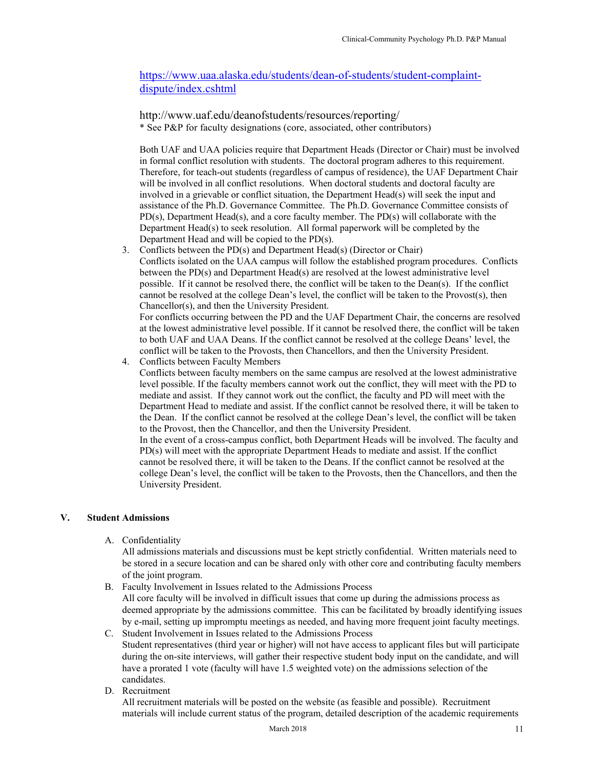https://www.uaa.alaska.edu/students/dean-of-students/student-complaintdispute/index.cshtml

http://www.uaf.edu/deanofstudents/resources/reporting/ \* See P&P for faculty designations (core, associated, other contributors)

Both UAF and UAA policies require that Department Heads (Director or Chair) must be involved in formal conflict resolution with students. The doctoral program adheres to this requirement. Therefore, for teach-out students (regardless of campus of residence), the UAF Department Chair will be involved in all conflict resolutions. When doctoral students and doctoral faculty are involved in a grievable or conflict situation, the Department Head(s) will seek the input and assistance of the Ph.D. Governance Committee. The Ph.D. Governance Committee consists of PD(s), Department Head(s), and a core faculty member. The PD(s) will collaborate with the Department Head(s) to seek resolution. All formal paperwork will be completed by the Department Head and will be copied to the PD(s).

3. Conflicts between the PD(s) and Department Head(s) (Director or Chair) Conflicts isolated on the UAA campus will follow the established program procedures. Conflicts between the PD(s) and Department Head(s) are resolved at the lowest administrative level possible. If it cannot be resolved there, the conflict will be taken to the Dean(s). If the conflict cannot be resolved at the college Dean's level, the conflict will be taken to the Provost(s), then Chancellor(s), and then the University President.

For conflicts occurring between the PD and the UAF Department Chair, the concerns are resolved at the lowest administrative level possible. If it cannot be resolved there, the conflict will be taken to both UAF and UAA Deans. If the conflict cannot be resolved at the college Deans' level, the conflict will be taken to the Provosts, then Chancellors, and then the University President.

4. Conflicts between Faculty Members Conflicts between faculty members on the same campus are resolved at the lowest administrative level possible. If the faculty members cannot work out the conflict, they will meet with the PD to mediate and assist. If they cannot work out the conflict, the faculty and PD will meet with the Department Head to mediate and assist. If the conflict cannot be resolved there, it will be taken to the Dean. If the conflict cannot be resolved at the college Dean's level, the conflict will be taken to the Provost, then the Chancellor, and then the University President. In the event of a cross-campus conflict, both Department Heads will be involved. The faculty and PD(s) will meet with the appropriate Department Heads to mediate and assist. If the conflict cannot be resolved there, it will be taken to the Deans. If the conflict cannot be resolved at the college Dean's level, the conflict will be taken to the Provosts, then the Chancellors, and then the University President.

# **V. Student Admissions**

A. Confidentiality

All admissions materials and discussions must be kept strictly confidential. Written materials need to be stored in a secure location and can be shared only with other core and contributing faculty members of the joint program.

B. Faculty Involvement in Issues related to the Admissions Process All core faculty will be involved in difficult issues that come up during the admissions process as deemed appropriate by the admissions committee. This can be facilitated by broadly identifying issues by e-mail, setting up impromptu meetings as needed, and having more frequent joint faculty meetings.

C. Student Involvement in Issues related to the Admissions Process Student representatives (third year or higher) will not have access to applicant files but will participate during the on-site interviews, will gather their respective student body input on the candidate, and will have a prorated 1 vote (faculty will have 1.5 weighted vote) on the admissions selection of the candidates.

D. Recruitment

All recruitment materials will be posted on the website (as feasible and possible). Recruitment materials will include current status of the program, detailed description of the academic requirements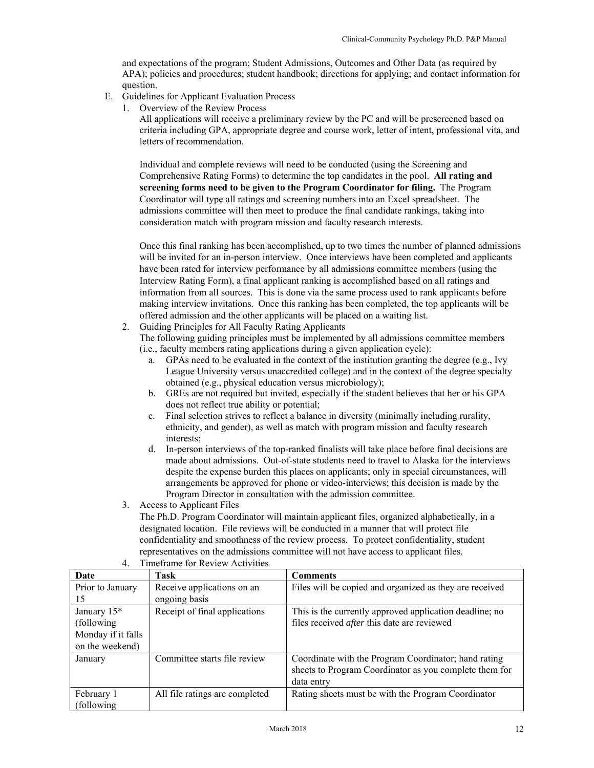and expectations of the program; Student Admissions, Outcomes and Other Data (as required by APA); policies and procedures; student handbook; directions for applying; and contact information for question.

- E. Guidelines for Applicant Evaluation Process
	- 1. Overview of the Review Process

All applications will receive a preliminary review by the PC and will be prescreened based on criteria including GPA, appropriate degree and course work, letter of intent, professional vita, and letters of recommendation.

Individual and complete reviews will need to be conducted (using the Screening and Comprehensive Rating Forms) to determine the top candidates in the pool. **All rating and screening forms need to be given to the Program Coordinator for filing.** The Program Coordinator will type all ratings and screening numbers into an Excel spreadsheet. The admissions committee will then meet to produce the final candidate rankings, taking into consideration match with program mission and faculty research interests.

Once this final ranking has been accomplished, up to two times the number of planned admissions will be invited for an in-person interview. Once interviews have been completed and applicants have been rated for interview performance by all admissions committee members (using the Interview Rating Form), a final applicant ranking is accomplished based on all ratings and information from all sources. This is done via the same process used to rank applicants before making interview invitations. Once this ranking has been completed, the top applicants will be offered admission and the other applicants will be placed on a waiting list.

2. Guiding Principles for All Faculty Rating Applicants

The following guiding principles must be implemented by all admissions committee members (i.e., faculty members rating applications during a given application cycle):

- a. GPAs need to be evaluated in the context of the institution granting the degree (e.g., Ivy League University versus unaccredited college) and in the context of the degree specialty obtained (e.g., physical education versus microbiology);
- b. GREs are not required but invited, especially if the student believes that her or his GPA does not reflect true ability or potential;
- c. Final selection strives to reflect a balance in diversity (minimally including rurality, ethnicity, and gender), as well as match with program mission and faculty research interests;
- d. In-person interviews of the top-ranked finalists will take place before final decisions are made about admissions. Out-of-state students need to travel to Alaska for the interviews despite the expense burden this places on applicants; only in special circumstances, will arrangements be approved for phone or video-interviews; this decision is made by the Program Director in consultation with the admission committee.
- 3. Access to Applicant Files

The Ph.D. Program Coordinator will maintain applicant files, organized alphabetically, in a designated location. File reviews will be conducted in a manner that will protect file confidentiality and smoothness of the review process. To protect confidentiality, student representatives on the admissions committee will not have access to applicant files.

| Date                    | Task                           | <b>Comments</b>                                         |
|-------------------------|--------------------------------|---------------------------------------------------------|
| Prior to January        | Receive applications on an     | Files will be copied and organized as they are received |
| 15                      | ongoing basis                  |                                                         |
| January 15 <sup>*</sup> | Receipt of final applications  | This is the currently approved application deadline; no |
| (following)             |                                | files received after this date are reviewed             |
| Monday if it falls      |                                |                                                         |
| on the weekend)         |                                |                                                         |
| January                 | Committee starts file review   | Coordinate with the Program Coordinator; hand rating    |
|                         |                                | sheets to Program Coordinator as you complete them for  |
|                         |                                | data entry                                              |
| February 1              | All file ratings are completed | Rating sheets must be with the Program Coordinator      |
| (following)             |                                |                                                         |

4. Timeframe for Review Activities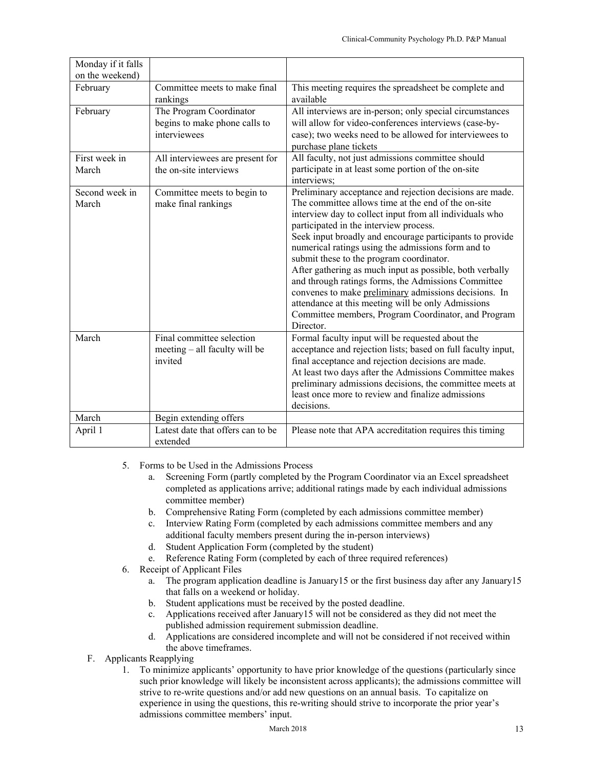| Monday if it falls<br>on the weekend) |                                                                          |                                                                                                                                                                                                                                                                                                                                                                                                                                                                                                                                                                                                                                                                                          |
|---------------------------------------|--------------------------------------------------------------------------|------------------------------------------------------------------------------------------------------------------------------------------------------------------------------------------------------------------------------------------------------------------------------------------------------------------------------------------------------------------------------------------------------------------------------------------------------------------------------------------------------------------------------------------------------------------------------------------------------------------------------------------------------------------------------------------|
| February                              | Committee meets to make final<br>rankings                                | This meeting requires the spreadsheet be complete and<br>available                                                                                                                                                                                                                                                                                                                                                                                                                                                                                                                                                                                                                       |
| February                              | The Program Coordinator<br>begins to make phone calls to<br>interviewees | All interviews are in-person; only special circumstances<br>will allow for video-conferences interviews (case-by-<br>case); two weeks need to be allowed for interviewees to<br>purchase plane tickets                                                                                                                                                                                                                                                                                                                                                                                                                                                                                   |
| First week in<br>March                | All interviewees are present for<br>the on-site interviews               | All faculty, not just admissions committee should<br>participate in at least some portion of the on-site<br>interviews;                                                                                                                                                                                                                                                                                                                                                                                                                                                                                                                                                                  |
| Second week in<br>March               | Committee meets to begin to<br>make final rankings                       | Preliminary acceptance and rejection decisions are made.<br>The committee allows time at the end of the on-site<br>interview day to collect input from all individuals who<br>participated in the interview process.<br>Seek input broadly and encourage participants to provide<br>numerical ratings using the admissions form and to<br>submit these to the program coordinator.<br>After gathering as much input as possible, both verbally<br>and through ratings forms, the Admissions Committee<br>convenes to make preliminary admissions decisions. In<br>attendance at this meeting will be only Admissions<br>Committee members, Program Coordinator, and Program<br>Director. |
| March                                 | Final committee selection<br>meeting - all faculty will be<br>invited    | Formal faculty input will be requested about the<br>acceptance and rejection lists; based on full faculty input,<br>final acceptance and rejection decisions are made.<br>At least two days after the Admissions Committee makes<br>preliminary admissions decisions, the committee meets at<br>least once more to review and finalize admissions<br>decisions.                                                                                                                                                                                                                                                                                                                          |
| March                                 | Begin extending offers                                                   |                                                                                                                                                                                                                                                                                                                                                                                                                                                                                                                                                                                                                                                                                          |
| April 1                               | Latest date that offers can to be<br>extended                            | Please note that APA accreditation requires this timing                                                                                                                                                                                                                                                                                                                                                                                                                                                                                                                                                                                                                                  |

- 5. Forms to be Used in the Admissions Process
	- a. Screening Form (partly completed by the Program Coordinator via an Excel spreadsheet completed as applications arrive; additional ratings made by each individual admissions committee member)
	- b. Comprehensive Rating Form (completed by each admissions committee member)
	- c. Interview Rating Form (completed by each admissions committee members and any additional faculty members present during the in-person interviews)
	- d. Student Application Form (completed by the student)
	- e. Reference Rating Form (completed by each of three required references)
- 6. Receipt of Applicant Files
	- a. The program application deadline is January15 or the first business day after any January15 that falls on a weekend or holiday.
	- b. Student applications must be received by the posted deadline.
	- c. Applications received after January15 will not be considered as they did not meet the published admission requirement submission deadline.
	- d. Applications are considered incomplete and will not be considered if not received within the above timeframes.
- F. Applicants Reapplying
	- 1. To minimize applicants' opportunity to have prior knowledge of the questions (particularly since such prior knowledge will likely be inconsistent across applicants); the admissions committee will strive to re-write questions and/or add new questions on an annual basis. To capitalize on experience in using the questions, this re-writing should strive to incorporate the prior year's admissions committee members' input.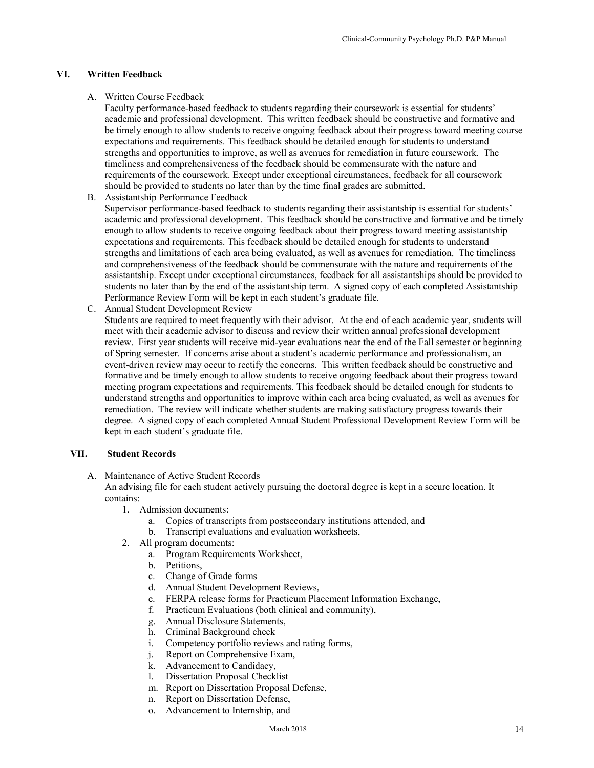# **VI. Written Feedback**

#### A. Written Course Feedback

Faculty performance-based feedback to students regarding their coursework is essential for students' academic and professional development. This written feedback should be constructive and formative and be timely enough to allow students to receive ongoing feedback about their progress toward meeting course expectations and requirements. This feedback should be detailed enough for students to understand strengths and opportunities to improve, as well as avenues for remediation in future coursework. The timeliness and comprehensiveness of the feedback should be commensurate with the nature and requirements of the coursework. Except under exceptional circumstances, feedback for all coursework should be provided to students no later than by the time final grades are submitted.

- B. Assistantship Performance Feedback Supervisor performance-based feedback to students regarding their assistantship is essential for students' academic and professional development. This feedback should be constructive and formative and be timely enough to allow students to receive ongoing feedback about their progress toward meeting assistantship expectations and requirements. This feedback should be detailed enough for students to understand strengths and limitations of each area being evaluated, as well as avenues for remediation. The timeliness and comprehensiveness of the feedback should be commensurate with the nature and requirements of the assistantship. Except under exceptional circumstances, feedback for all assistantships should be provided to students no later than by the end of the assistantship term. A signed copy of each completed Assistantship Performance Review Form will be kept in each student's graduate file.
- C. Annual Student Development Review

Students are required to meet frequently with their advisor. At the end of each academic year, students will meet with their academic advisor to discuss and review their written annual professional development review. First year students will receive mid-year evaluations near the end of the Fall semester or beginning of Spring semester. If concerns arise about a student's academic performance and professionalism, an event-driven review may occur to rectify the concerns. This written feedback should be constructive and formative and be timely enough to allow students to receive ongoing feedback about their progress toward meeting program expectations and requirements. This feedback should be detailed enough for students to understand strengths and opportunities to improve within each area being evaluated, as well as avenues for remediation. The review will indicate whether students are making satisfactory progress towards their degree. A signed copy of each completed Annual Student Professional Development Review Form will be kept in each student's graduate file.

# **VII. Student Records**

A. Maintenance of Active Student Records

An advising file for each student actively pursuing the doctoral degree is kept in a secure location. It contains:

- 1. Admission documents:
	- a. Copies of transcripts from postsecondary institutions attended, and
	- b. Transcript evaluations and evaluation worksheets,
- 2. All program documents:
	- a. Program Requirements Worksheet,
	- b. Petitions,
	- c. Change of Grade forms
	- d. Annual Student Development Reviews,
	- e. FERPA release forms for Practicum Placement Information Exchange,
	- f. Practicum Evaluations (both clinical and community),
	- g. Annual Disclosure Statements,
	- h. Criminal Background check
	- i. Competency portfolio reviews and rating forms,
	- j. Report on Comprehensive Exam,
	- k. Advancement to Candidacy,
	- l. Dissertation Proposal Checklist
	- m. Report on Dissertation Proposal Defense,
	- n. Report on Dissertation Defense,
	- o. Advancement to Internship, and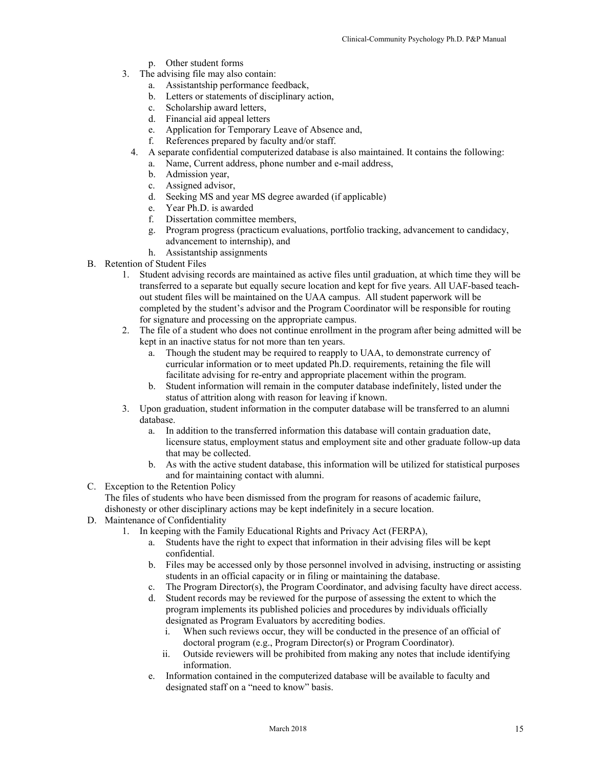- p. Other student forms
- 3. The advising file may also contain:
	- a. Assistantship performance feedback,
	- b. Letters or statements of disciplinary action,
	- c. Scholarship award letters,
	- d. Financial aid appeal letters
	- e. Application for Temporary Leave of Absence and,
	- f. References prepared by faculty and/or staff.
	- 4. A separate confidential computerized database is also maintained. It contains the following:
		- a. Name, Current address, phone number and e-mail address,
		- b. Admission year,
		- c. Assigned advisor,
		- d. Seeking MS and year MS degree awarded (if applicable)
		- e. Year Ph.D. is awarded
		- f. Dissertation committee members,
		- g. Program progress (practicum evaluations, portfolio tracking, advancement to candidacy, advancement to internship), and
		- h. Assistantship assignments
- B. Retention of Student Files
	- 1. Student advising records are maintained as active files until graduation, at which time they will be transferred to a separate but equally secure location and kept for five years. All UAF-based teachout student files will be maintained on the UAA campus. All student paperwork will be completed by the student's advisor and the Program Coordinator will be responsible for routing for signature and processing on the appropriate campus.
	- 2. The file of a student who does not continue enrollment in the program after being admitted will be kept in an inactive status for not more than ten years.
		- a. Though the student may be required to reapply to UAA, to demonstrate currency of curricular information or to meet updated Ph.D. requirements, retaining the file will facilitate advising for re-entry and appropriate placement within the program.
		- b. Student information will remain in the computer database indefinitely, listed under the status of attrition along with reason for leaving if known.
	- 3. Upon graduation, student information in the computer database will be transferred to an alumni database.
		- a. In addition to the transferred information this database will contain graduation date, licensure status, employment status and employment site and other graduate follow-up data that may be collected.
		- b. As with the active student database, this information will be utilized for statistical purposes and for maintaining contact with alumni.
- C. Exception to the Retention Policy

The files of students who have been dismissed from the program for reasons of academic failure, dishonesty or other disciplinary actions may be kept indefinitely in a secure location.

- D. Maintenance of Confidentiality
	- 1. In keeping with the Family Educational Rights and Privacy Act (FERPA),
		- a. Students have the right to expect that information in their advising files will be kept confidential.
		- b. Files may be accessed only by those personnel involved in advising, instructing or assisting students in an official capacity or in filing or maintaining the database.
		- c. The Program Director(s), the Program Coordinator, and advising faculty have direct access.
		- d. Student records may be reviewed for the purpose of assessing the extent to which the program implements its published policies and procedures by individuals officially designated as Program Evaluators by accrediting bodies.
			- i. When such reviews occur, they will be conducted in the presence of an official of doctoral program (e.g., Program Director(s) or Program Coordinator).
			- ii. Outside reviewers will be prohibited from making any notes that include identifying information.
		- e. Information contained in the computerized database will be available to faculty and designated staff on a "need to know" basis.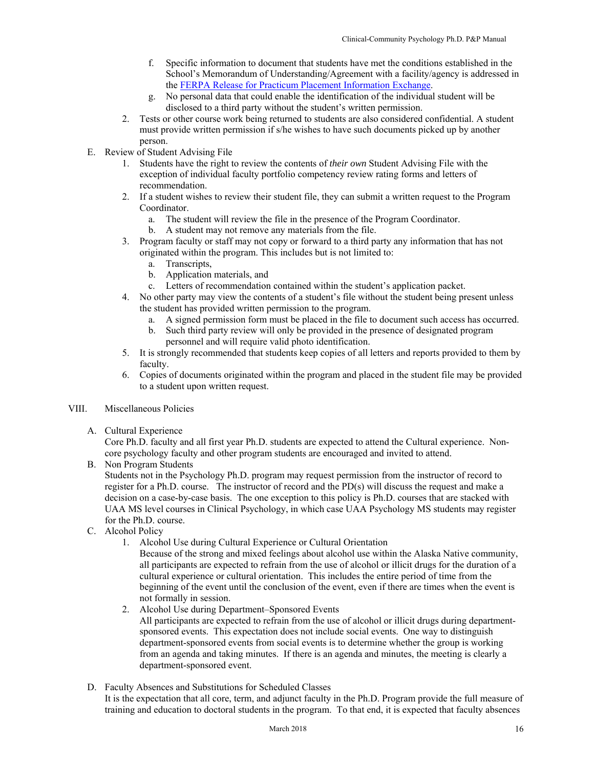- f. Specific information to document that students have met the conditions established in the School's Memorandum of Understanding/Agreement with a facility/agency is addressed in the FERPA Release for Practicum Placement Information Exchange.
- g. No personal data that could enable the identification of the individual student will be disclosed to a third party without the student's written permission.
- 2. Tests or other course work being returned to students are also considered confidential. A student must provide written permission if s/he wishes to have such documents picked up by another person.
- E. Review of Student Advising File
	- 1. Students have the right to review the contents of *their own* Student Advising File with the exception of individual faculty portfolio competency review rating forms and letters of recommendation.
	- 2. If a student wishes to review their student file, they can submit a written request to the Program Coordinator.
		- a. The student will review the file in the presence of the Program Coordinator.
		- b. A student may not remove any materials from the file.
	- 3. Program faculty or staff may not copy or forward to a third party any information that has not originated within the program. This includes but is not limited to:
		- a. Transcripts,
		- b. Application materials, and
		- c. Letters of recommendation contained within the student's application packet.
	- 4. No other party may view the contents of a student's file without the student being present unless the student has provided written permission to the program.
		- a. A signed permission form must be placed in the file to document such access has occurred.
		- b. Such third party review will only be provided in the presence of designated program personnel and will require valid photo identification.
	- 5. It is strongly recommended that students keep copies of all letters and reports provided to them by faculty.
	- 6. Copies of documents originated within the program and placed in the student file may be provided to a student upon written request.
- VIII. Miscellaneous Policies
	- A. Cultural Experience

Core Ph.D. faculty and all first year Ph.D. students are expected to attend the Cultural experience. Noncore psychology faculty and other program students are encouraged and invited to attend.

B. Non Program Students

Students not in the Psychology Ph.D. program may request permission from the instructor of record to register for a Ph.D. course. The instructor of record and the PD(s) will discuss the request and make a decision on a case-by-case basis. The one exception to this policy is Ph.D. courses that are stacked with UAA MS level courses in Clinical Psychology, in which case UAA Psychology MS students may register for the Ph.D. course.

- C. Alcohol Policy
	- 1. Alcohol Use during Cultural Experience or Cultural Orientation
		- Because of the strong and mixed feelings about alcohol use within the Alaska Native community, all participants are expected to refrain from the use of alcohol or illicit drugs for the duration of a cultural experience or cultural orientation. This includes the entire period of time from the beginning of the event until the conclusion of the event, even if there are times when the event is not formally in session.
	- 2. Alcohol Use during Department–Sponsored Events All participants are expected to refrain from the use of alcohol or illicit drugs during departmentsponsored events. This expectation does not include social events. One way to distinguish department-sponsored events from social events is to determine whether the group is working from an agenda and taking minutes. If there is an agenda and minutes, the meeting is clearly a department-sponsored event.
- D. Faculty Absences and Substitutions for Scheduled Classes It is the expectation that all core, term, and adjunct faculty in the Ph.D. Program provide the full measure of training and education to doctoral students in the program. To that end, it is expected that faculty absences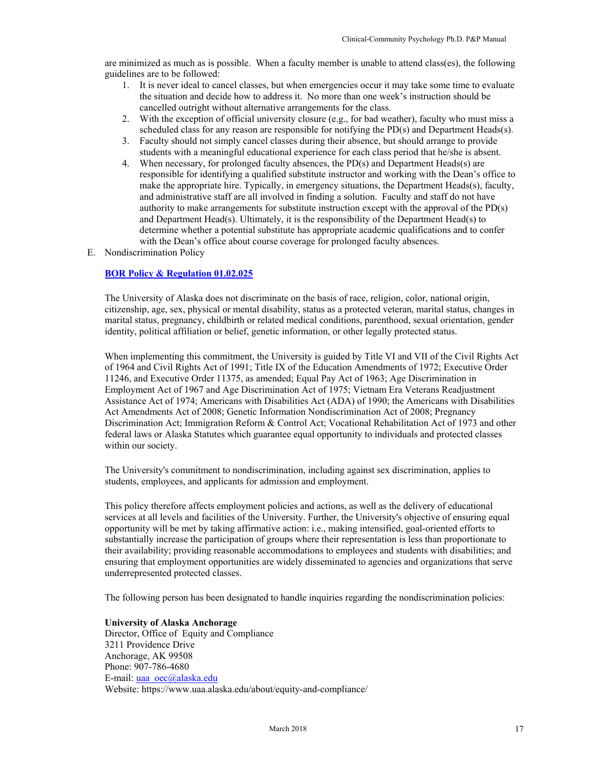are minimized as much as is possible. When a faculty member is unable to attend class(es), the following guidelines are to be followed:

- 1. It is never ideal to cancel classes, but when emergencies occur it may take some time to evaluate the situation and decide how to address it. No more than one week's instruction should be cancelled outright without alternative arrangements for the class.
- 2. With the exception of official university closure (e.g., for bad weather), faculty who must miss a scheduled class for any reason are responsible for notifying the PD(s) and Department Heads(s).
- 3. Faculty should not simply cancel classes during their absence, but should arrange to provide students with a meaningful educational experience for each class period that he/she is absent.
- 4. When necessary, for prolonged faculty absences, the PD(s) and Department Heads(s) are responsible for identifying a qualified substitute instructor and working with the Dean's office to make the appropriate hire. Typically, in emergency situations, the Department Heads(s), faculty, and administrative staff are all involved in finding a solution. Faculty and staff do not have authority to make arrangements for substitute instruction except with the approval of the PD(s) and Department Head(s). Ultimately, it is the responsibility of the Department Head(s) to determine whether a potential substitute has appropriate academic qualifications and to confer with the Dean's office about course coverage for prolonged faculty absences.
- E. Nondiscrimination Policy

#### **BOR Policy & Regulation 01.02.025**

The University of Alaska does not discriminate on the basis of race, religion, color, national origin, citizenship, age, sex, physical or mental disability, status as a protected veteran, marital status, changes in marital status, pregnancy, childbirth or related medical conditions, parenthood, sexual orientation, gender identity, political affiliation or belief, genetic information, or other legally protected status.

When implementing this commitment, the University is guided by Title VI and VII of the Civil Rights Act of 1964 and Civil Rights Act of 1991; Title IX of the Education Amendments of 1972; Executive Order 11246, and Executive Order 11375, as amended; Equal Pay Act of 1963; Age Discrimination in Employment Act of 1967 and Age Discrimination Act of 1975; Vietnam Era Veterans Readjustment Assistance Act of 1974; Americans with Disabilities Act (ADA) of 1990; the Americans with Disabilities Act Amendments Act of 2008; Genetic Information Nondiscrimination Act of 2008; Pregnancy Discrimination Act; Immigration Reform & Control Act; Vocational Rehabilitation Act of 1973 and other federal laws or Alaska Statutes which guarantee equal opportunity to individuals and protected classes within our society.

The University's commitment to nondiscrimination, including against sex discrimination, applies to students, employees, and applicants for admission and employment.

This policy therefore affects employment policies and actions, as well as the delivery of educational services at all levels and facilities of the University. Further, the University's objective of ensuring equal opportunity will be met by taking affirmative action: i.e., making intensified, goal-oriented efforts to substantially increase the participation of groups where their representation is less than proportionate to their availability; providing reasonable accommodations to employees and students with disabilities; and ensuring that employment opportunities are widely disseminated to agencies and organizations that serve underrepresented protected classes.

The following person has been designated to handle inquiries regarding the nondiscrimination policies:

#### **University of Alaska Anchorage**

Director, Office of Equity and Compliance 3211 Providence Drive Anchorage, AK 99508 Phone: 907-786-4680 E-mail: uaa\_oec@alaska.edu Website: https://www.uaa.alaska.edu/about/equity-and-compliance/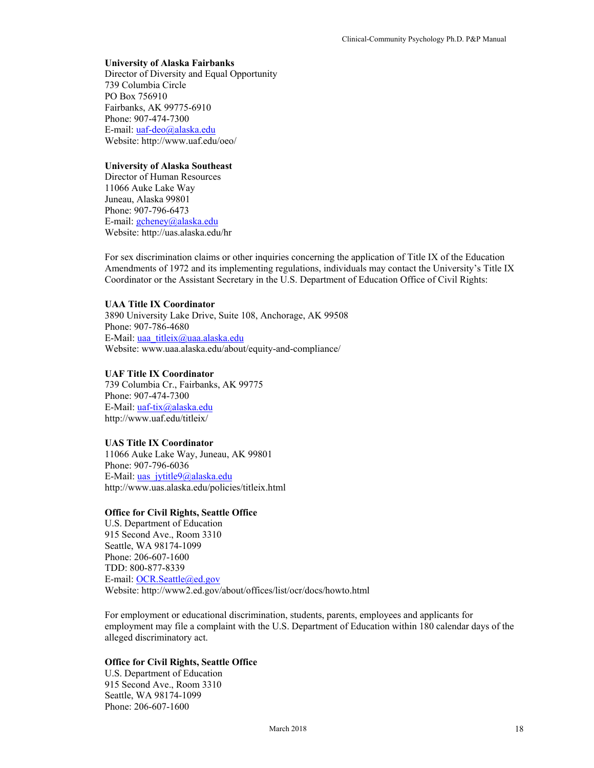#### **University of Alaska Fairbanks**

Director of Diversity and Equal Opportunity 739 Columbia Circle PO Box 756910 Fairbanks, AK 99775-6910 Phone: 907-474-7300 E-mail: uaf-deo@alaska.edu Website: http://www.uaf.edu/oeo/

# **University of Alaska Southeast**

Director of Human Resources 11066 Auke Lake Way Juneau, Alaska 99801 Phone: 907-796-6473 E-mail: gcheney@alaska.edu Website: http://uas.alaska.edu/hr

For sex discrimination claims or other inquiries concerning the application of Title IX of the Education Amendments of 1972 and its implementing regulations, individuals may contact the University's Title IX Coordinator or the Assistant Secretary in the U.S. Department of Education Office of Civil Rights:

# **UAA Title IX Coordinator**

3890 University Lake Drive, Suite 108, Anchorage, AK 99508 Phone: 907-786-4680 E-Mail: uaa\_titleix@uaa.alaska.edu Website: www.uaa.alaska.edu/about/equity-and-compliance/

# **UAF Title IX Coordinator**

739 Columbia Cr., Fairbanks, AK 99775 Phone: 907-474-7300 E-Mail: uaf-tix@alaska.edu http://www.uaf.edu/titleix/

# **UAS Title IX Coordinator**

11066 Auke Lake Way, Juneau, AK 99801 Phone: 907-796-6036 E-Mail: uas\_jytitle9@alaska.edu http://www.uas.alaska.edu/policies/titleix.html

# **Office for Civil Rights, Seattle Office**

U.S. Department of Education 915 Second Ave., Room 3310 Seattle, WA 98174-1099 Phone: 206-607-1600 TDD: 800-877-8339 E-mail: OCR.Seattle@ed.gov Website: http://www2.ed.gov/about/offices/list/ocr/docs/howto.html

For employment or educational discrimination, students, parents, employees and applicants for employment may file a complaint with the U.S. Department of Education within 180 calendar days of the alleged discriminatory act.

# **Office for Civil Rights, Seattle Office**

U.S. Department of Education 915 Second Ave., Room 3310 Seattle, WA 98174-1099 Phone: 206-607-1600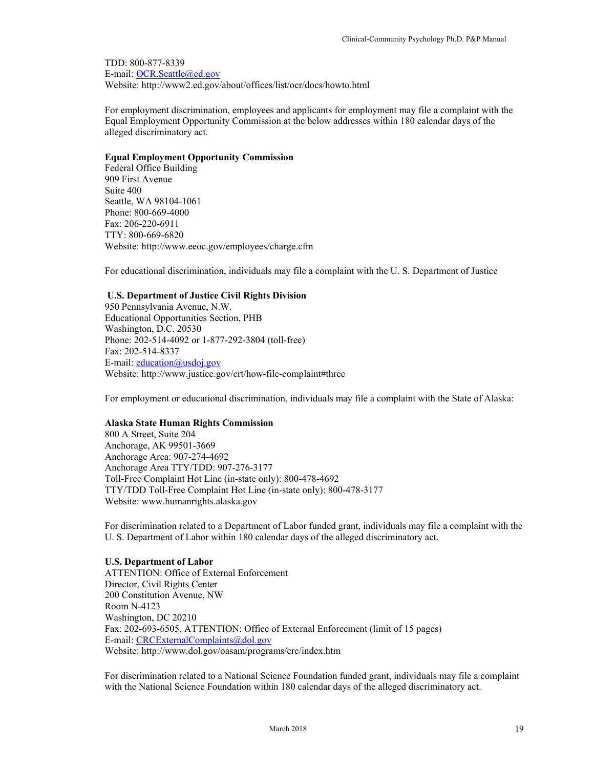TDD: 800-877-8339 E-mail: OCR.Seattle@ed.gov Website: http://www2.ed.gov/about/offices/list/ocr/docs/howto.html

For employment discrimination, employees and applicants for employment may file a complaint with the Equal Employment Opportunity Commission at the below addresses within 180 calendar days of the alleged discriminatory act.

#### **Equal Employment Opportunity Commission**

Federal Office Building 909 First Avenue Suite 400 Seattle, WA 98104-1061 Phone: 800-669-4000 Fax: 206-220-6911 TTY: 800-669-6820 Website: http://www.eeoc.gov/employees/charge.cfm

For educational discrimination, individuals may file a complaint with the U. S. Department of Justice

# **U.S. Department of Justice Civil Rights Division**

950 Pennsylvania Avenue, N.W. Educational Opportunities Section, PHB Washington, D.C. 20530 Phone: 202-514-4092 or 1-877-292-3804 (toll-free) Fax: 202-514-8337 E-mail:  $eduction@usdoj.gov$ Website: http://www.justice.gov/crt/how-file-complaint#three

For employment or educational discrimination, individuals may file a complaint with the State of Alaska:

#### **Alaska State Human Rights Commission**

800 A Street, Suite 204 Anchorage, AK 99501-3669 Anchorage Area: 907-274-4692 Anchorage Area TTY/TDD: 907-276-3177 Toll-Free Complaint Hot Line (in-state only): 800-478-4692 TTY/TDD Toll-Free Complaint Hot Line (in-state only): 800-478-3177 Website: www.humanrights.alaska.gov

For discrimination related to a Department of Labor funded grant, individuals may file a complaint with the U. S. Department of Labor within 180 calendar days of the alleged discriminatory act.

# **U.S. Department of Labor**

ATTENTION: Office of External Enforcement Director, Civil Rights Center 200 Constitution Avenue, NW Room N-4123 Washington, DC 20210 Fax: 202-693-6505, ATTENTION: Office of External Enforcement (limit of 15 pages) E-mail: CRCExternalComplaints@dol.gov Website: http://www.dol.gov/oasam/programs/crc/index.htm

For discrimination related to a National Science Foundation funded grant, individuals may file a complaint with the National Science Foundation within 180 calendar days of the alleged discriminatory act.